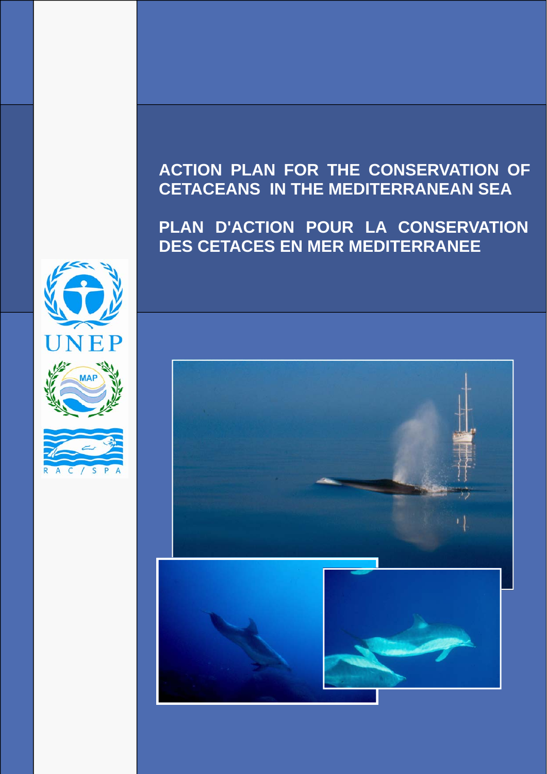# **PLAN D'ACTION POUR LA CONSERVATION DES CETACES EN MER MEDITERRANEE**







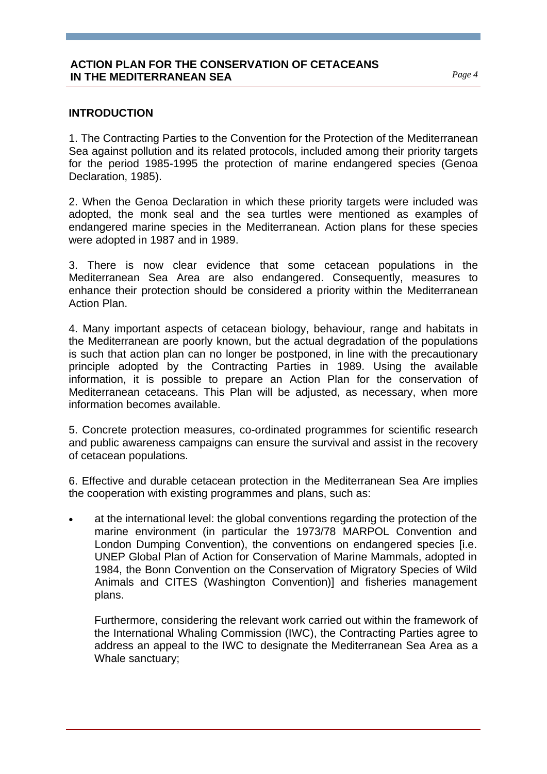### **INTRODUCTION**

1. The Contracting Parties to the Convention for the Protection of the Mediterranean Sea against pollution and its related protocols, included among their priority targets for the period 1985-1995 the protection of marine endangered species (Genoa Declaration, 1985).

2. When the Genoa Declaration in which these priority targets were included was adopted, the monk seal and the sea turtles were mentioned as examples of endangered marine species in the Mediterranean. Action plans for these species were adopted in 1987 and in 1989.

3. There is now clear evidence that some cetacean populations in the Mediterranean Sea Area are also endangered. Consequently, measures to enhance their protection should be considered a priority within the Mediterranean Action Plan.

4. Many important aspects of cetacean biology, behaviour, range and habitats in the Mediterranean are poorly known, but the actual degradation of the populations is such that action plan can no longer be postponed, in line with the precautionary principle adopted by the Contracting Parties in 1989. Using the available information, it is possible to prepare an Action Plan for the conservation of Mediterranean cetaceans. This Plan will be adjusted, as necessary, when more information becomes available.

5. Concrete protection measures, co-ordinated programmes for scientific research and public awareness campaigns can ensure the survival and assist in the recovery of cetacean populations.

6. Effective and durable cetacean protection in the Mediterranean Sea Are implies the cooperation with existing programmes and plans, such as:

• at the international level: the global conventions regarding the protection of the marine environment (in particular the 1973/78 MARPOL Convention and London Dumping Convention), the conventions on endangered species [i.e. UNEP Global Plan of Action for Conservation of Marine Mammals, adopted in 1984, the Bonn Convention on the Conservation of Migratory Species of Wild Animals and CITES (Washington Convention)] and fisheries management plans.

Furthermore, considering the relevant work carried out within the framework of the International Whaling Commission (IWC), the Contracting Parties agree to address an appeal to the IWC to designate the Mediterranean Sea Area as a Whale sanctuary;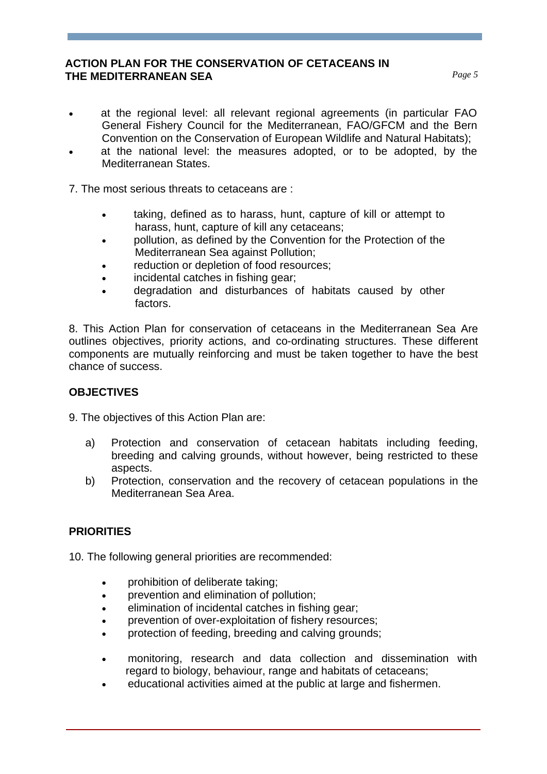- at the regional level: all relevant regional agreements (in particular FAO General Fishery Council for the Mediterranean, FAO/GFCM and the Bern Convention on the Conservation of European Wildlife and Natural Habitats);
- at the national level: the measures adopted, or to be adopted, by the Mediterranean States.
- 7. The most serious threats to cetaceans are :
	- taking, defined as to harass, hunt, capture of kill or attempt to harass, hunt, capture of kill any cetaceans;
	- pollution, as defined by the Convention for the Protection of the Mediterranean Sea against Pollution;
	- reduction or depletion of food resources:
	- incidental catches in fishing gear;
	- degradation and disturbances of habitats caused by other factors.

8. This Action Plan for conservation of cetaceans in the Mediterranean Sea Are outlines objectives, priority actions, and co-ordinating structures. These different components are mutually reinforcing and must be taken together to have the best chance of success.

# **OBJECTIVES**

9. The objectives of this Action Plan are:

- a) Protection and conservation of cetacean habitats including feeding, breeding and calving grounds, without however, being restricted to these aspects.
- b) Protection, conservation and the recovery of cetacean populations in the Mediterranean Sea Area.

# **PRIORITIES**

10. The following general priorities are recommended:

- prohibition of deliberate taking;
- prevention and elimination of pollution;
- elimination of incidental catches in fishing gear;
- prevention of over-exploitation of fishery resources;
- protection of feeding, breeding and calving grounds;
- monitoring, research and data collection and dissemination with regard to biology, behaviour, range and habitats of cetaceans;
- educational activities aimed at the public at large and fishermen.

*Page 5*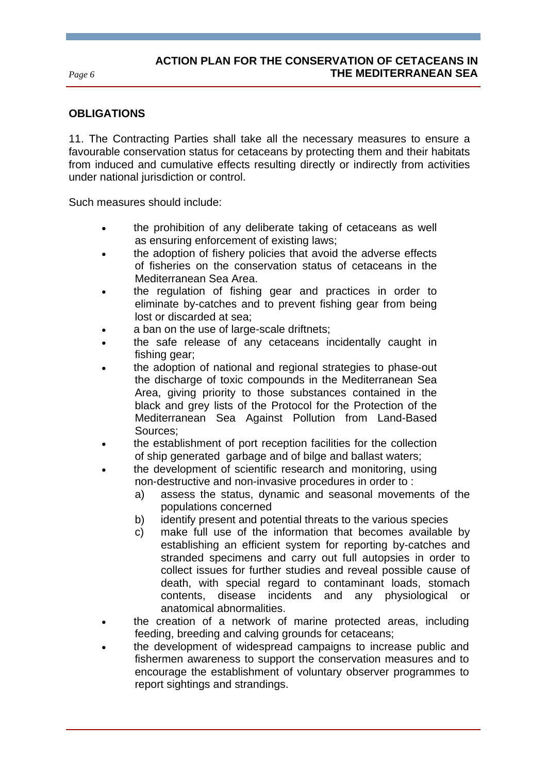*Page 6* 

# **OBLIGATIONS**

11. The Contracting Parties shall take all the necessary measures to ensure a favourable conservation status for cetaceans by protecting them and their habitats from induced and cumulative effects resulting directly or indirectly from activities under national jurisdiction or control.

Such measures should include:

- the prohibition of any deliberate taking of cetaceans as well as ensuring enforcement of existing laws;
- the adoption of fishery policies that avoid the adverse effects of fisheries on the conservation status of cetaceans in the Mediterranean Sea Area.
- the regulation of fishing gear and practices in order to eliminate by-catches and to prevent fishing gear from being lost or discarded at sea;
- a ban on the use of large-scale driftnets:
- the safe release of any cetaceans incidentally caught in fishing gear;
- the adoption of national and regional strategies to phase-out the discharge of toxic compounds in the Mediterranean Sea Area, giving priority to those substances contained in the black and grey lists of the Protocol for the Protection of the Mediterranean Sea Against Pollution from Land-Based Sources;
- the establishment of port reception facilities for the collection of ship generated garbage and of bilge and ballast waters;
- the development of scientific research and monitoring, using non-destructive and non-invasive procedures in order to :
	- a) assess the status, dynamic and seasonal movements of the populations concerned
	- b) identify present and potential threats to the various species
	- c) make full use of the information that becomes available by establishing an efficient system for reporting by-catches and stranded specimens and carry out full autopsies in order to collect issues for further studies and reveal possible cause of death, with special regard to contaminant loads, stomach contents, disease incidents and any physiological anatomical abnormalities.
- the creation of a network of marine protected areas, including feeding, breeding and calving grounds for cetaceans;
- the development of widespread campaigns to increase public and fishermen awareness to support the conservation measures and to encourage the establishment of voluntary observer programmes to report sightings and strandings.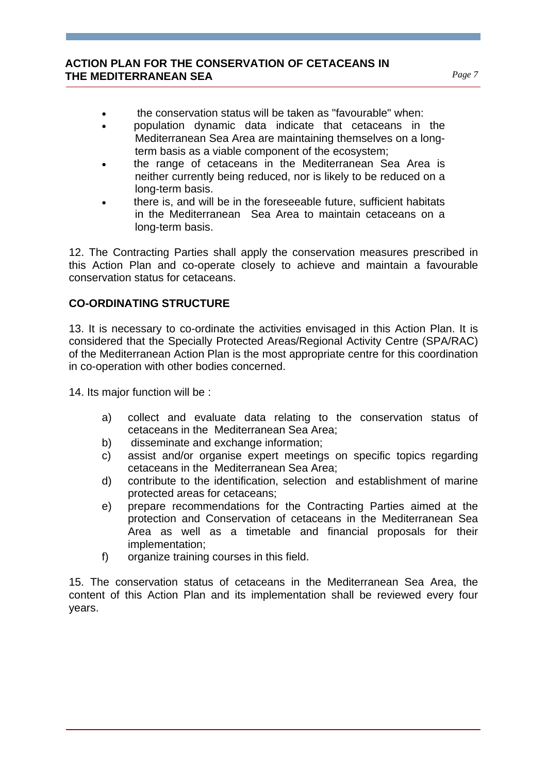- the conservation status will be taken as "favourable" when:
- population dynamic data indicate that cetaceans in the Mediterranean Sea Area are maintaining themselves on a longterm basis as a viable component of the ecosystem;
- the range of cetaceans in the Mediterranean Sea Area is neither currently being reduced, nor is likely to be reduced on a long-term basis.
- there is, and will be in the foreseeable future, sufficient habitats in the Mediterranean Sea Area to maintain cetaceans on a long-term basis.

12. The Contracting Parties shall apply the conservation measures prescribed in this Action Plan and co-operate closely to achieve and maintain a favourable conservation status for cetaceans.

# **CO-ORDINATING STRUCTURE**

13. It is necessary to co-ordinate the activities envisaged in this Action Plan. It is considered that the Specially Protected Areas/Regional Activity Centre (SPA/RAC) of the Mediterranean Action Plan is the most appropriate centre for this coordination in co-operation with other bodies concerned.

14. Its major function will be :

- a) collect and evaluate data relating to the conservation status of cetaceans in the Mediterranean Sea Area;
- b) disseminate and exchange information;
- c) assist and/or organise expert meetings on specific topics regarding cetaceans in the Mediterranean Sea Area;
- d) contribute to the identification, selection and establishment of marine protected areas for cetaceans;
- e) prepare recommendations for the Contracting Parties aimed at the protection and Conservation of cetaceans in the Mediterranean Sea Area as well as a timetable and financial proposals for their implementation;
- f) organize training courses in this field.

15. The conservation status of cetaceans in the Mediterranean Sea Area, the content of this Action Plan and its implementation shall be reviewed every four years.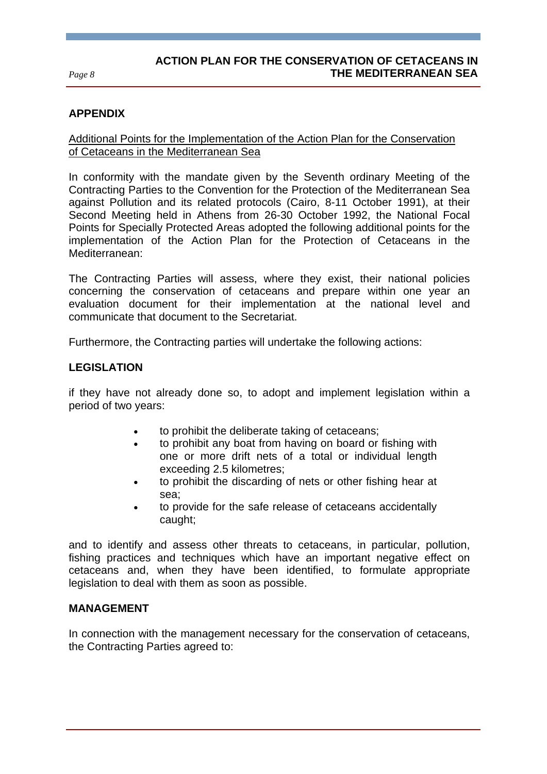# **Document Title THE MEDITERRANEAN SEAACTION PLAN FOR THE CONSERVATION OF CETACEANS IN**

*Page 8* 

### **APPENDIX**

# Additional Points for the Implementation of the Action Plan for the Conservation of Cetaceans in the Mediterranean Sea

In conformity with the mandate given by the Seventh ordinary Meeting of the Contracting Parties to the Convention for the Protection of the Mediterranean Sea against Pollution and its related protocols (Cairo, 8-11 October 1991), at their Second Meeting held in Athens from 26-30 October 1992, the National Focal Points for Specially Protected Areas adopted the following additional points for the implementation of the Action Plan for the Protection of Cetaceans in the Mediterranean:

The Contracting Parties will assess, where they exist, their national policies concerning the conservation of cetaceans and prepare within one year an evaluation document for their implementation at the national level and communicate that document to the Secretariat.

Furthermore, the Contracting parties will undertake the following actions:

### **LEGISLATION**

if they have not already done so, to adopt and implement legislation within a period of two years:

- to prohibit the deliberate taking of cetaceans;
- to prohibit any boat from having on board or fishing with one or more drift nets of a total or individual length exceeding 2.5 kilometres;
- to prohibit the discarding of nets or other fishing hear at sea;
- to provide for the safe release of cetaceans accidentally caught;

and to identify and assess other threats to cetaceans, in particular, pollution, fishing practices and techniques which have an important negative effect on cetaceans and, when they have been identified, to formulate appropriate legislation to deal with them as soon as possible.

### **MANAGEMENT**

In connection with the management necessary for the conservation of cetaceans, the Contracting Parties agreed to: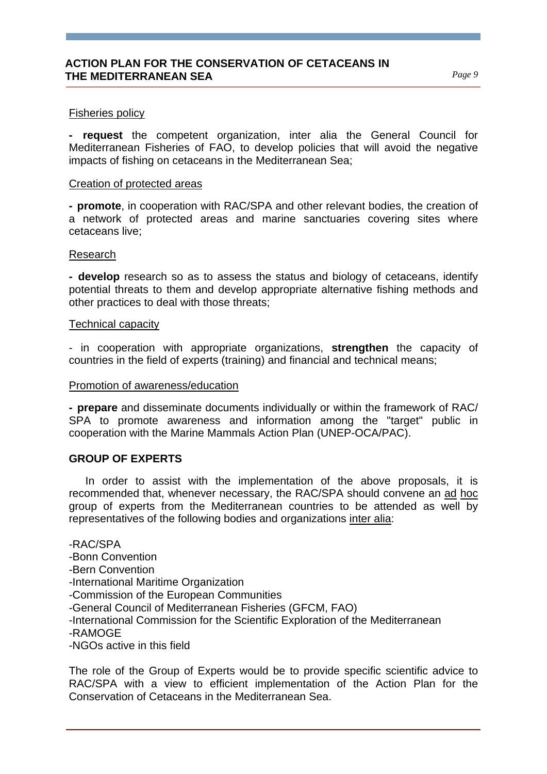### Fisheries policy

**- request** the competent organization, inter alia the General Council for Mediterranean Fisheries of FAO, to develop policies that will avoid the negative impacts of fishing on cetaceans in the Mediterranean Sea;

### Creation of protected areas

**- promote**, in cooperation with RAC/SPA and other relevant bodies, the creation of a network of protected areas and marine sanctuaries covering sites where cetaceans live;

### Research

**- develop** research so as to assess the status and biology of cetaceans, identify potential threats to them and develop appropriate alternative fishing methods and other practices to deal with those threats;

#### Technical capacity

- in cooperation with appropriate organizations, **strengthen** the capacity of countries in the field of experts (training) and financial and technical means;

### Promotion of awareness/education

**- prepare** and disseminate documents individually or within the framework of RAC/ SPA to promote awareness and information among the "target" public in cooperation with the Marine Mammals Action Plan (UNEP-OCA/PAC).

### **GROUP OF EXPERTS**

 In order to assist with the implementation of the above proposals, it is recommended that, whenever necessary, the RAC/SPA should convene an ad hoc group of experts from the Mediterranean countries to be attended as well by representatives of the following bodies and organizations inter alia:

### -RAC/SPA

-Bonn Convention

-Bern Convention

-International Maritime Organization

-Commission of the European Communities

-General Council of Mediterranean Fisheries (GFCM, FAO)

-International Commission for the Scientific Exploration of the Mediterranean

-RAMOGE

-NGOs active in this field

The role of the Group of Experts would be to provide specific scientific advice to RAC/SPA with a view to efficient implementation of the Action Plan for the Conservation of Cetaceans in the Mediterranean Sea.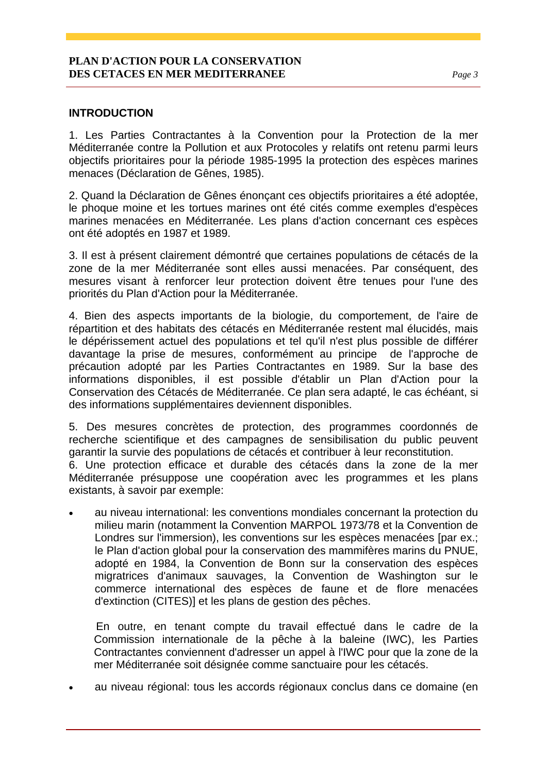# **INTRODUCTION**

1. Les Parties Contractantes à la Convention pour la Protection de la mer Méditerranée contre la Pollution et aux Protocoles y relatifs ont retenu parmi leurs objectifs prioritaires pour la période 1985-1995 la protection des espèces marines menaces (Déclaration de Gênes, 1985).

2. Quand la Déclaration de Gênes énonçant ces objectifs prioritaires a été adoptée, le phoque moine et les tortues marines ont été cités comme exemples d'espèces marines menacées en Méditerranée. Les plans d'action concernant ces espèces ont été adoptés en 1987 et 1989.

3. Il est à présent clairement démontré que certaines populations de cétacés de la zone de la mer Méditerranée sont elles aussi menacées. Par conséquent, des mesures visant à renforcer leur protection doivent être tenues pour l'une des priorités du Plan d'Action pour la Méditerranée.

4. Bien des aspects importants de la biologie, du comportement, de l'aire de répartition et des habitats des cétacés en Méditerranée restent mal élucidés, mais le dépérissement actuel des populations et tel qu'il n'est plus possible de différer davantage la prise de mesures, conformément au principe de l'approche de précaution adopté par les Parties Contractantes en 1989. Sur la base des informations disponibles, il est possible d'établir un Plan d'Action pour la Conservation des Cétacés de Méditerranée. Ce plan sera adapté, le cas échéant, si des informations supplémentaires deviennent disponibles.

5. Des mesures concrètes de protection, des programmes coordonnés de recherche scientifique et des campagnes de sensibilisation du public peuvent garantir la survie des populations de cétacés et contribuer à leur reconstitution. 6. Une protection efficace et durable des cétacés dans la zone de la mer Méditerranée présuppose une coopération avec les programmes et les plans existants, à savoir par exemple:

• au niveau international: les conventions mondiales concernant la protection du milieu marin (notamment la Convention MARPOL 1973/78 et la Convention de Londres sur l'immersion), les conventions sur les espèces menacées [par ex.; le Plan d'action global pour la conservation des mammifères marins du PNUE, adopté en 1984, la Convention de Bonn sur la conservation des espèces migratrices d'animaux sauvages, la Convention de Washington sur le commerce international des espèces de faune et de flore menacées d'extinction (CITES)] et les plans de gestion des pêches.

 En outre, en tenant compte du travail effectué dans le cadre de la Commission internationale de la pêche à la baleine (IWC), les Parties Contractantes conviennent d'adresser un appel à l'IWC pour que la zone de la mer Méditerranée soit désignée comme sanctuaire pour les cétacés.

• au niveau régional: tous les accords régionaux conclus dans ce domaine (en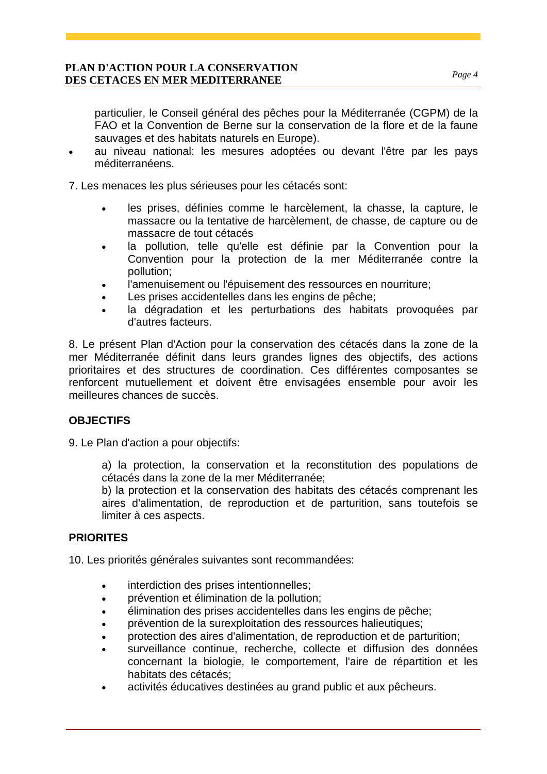particulier, le Conseil général des pêches pour la Méditerranée (CGPM) de la FAO et la Convention de Berne sur la conservation de la flore et de la faune sauvages et des habitats naturels en Europe).

• au niveau national: les mesures adoptées ou devant l'être par les pays méditerranéens.

7. Les menaces les plus sérieuses pour les cétacés sont:

- les prises, définies comme le harcèlement, la chasse, la capture, le massacre ou la tentative de harcèlement, de chasse, de capture ou de massacre de tout cétacés
- la pollution, telle qu'elle est définie par la Convention pour la Convention pour la protection de la mer Méditerranée contre la pollution;
- l'amenuisement ou l'épuisement des ressources en nourriture;
- Les prises accidentelles dans les engins de pêche;
- la dégradation et les perturbations des habitats provoquées par d'autres facteurs.

8. Le présent Plan d'Action pour la conservation des cétacés dans la zone de la mer Méditerranée définit dans leurs grandes lignes des objectifs, des actions prioritaires et des structures de coordination. Ces différentes composantes se renforcent mutuellement et doivent être envisagées ensemble pour avoir les meilleures chances de succès.

# **OBJECTIFS**

9. Le Plan d'action a pour objectifs:

a) la protection, la conservation et la reconstitution des populations de cétacés dans la zone de la mer Méditerranée;

b) la protection et la conservation des habitats des cétacés comprenant les aires d'alimentation, de reproduction et de parturition, sans toutefois se limiter à ces aspects.

# **PRIORITES**

10. Les priorités générales suivantes sont recommandées:

- interdiction des prises intentionnelles;
- prévention et élimination de la pollution;
- élimination des prises accidentelles dans les engins de pêche;
- prévention de la surexploitation des ressources halieutiques;
- protection des aires d'alimentation, de reproduction et de parturition;
- surveillance continue, recherche, collecte et diffusion des données concernant la biologie, le comportement, l'aire de répartition et les habitats des cétacés;
- activités éducatives destinées au grand public et aux pêcheurs.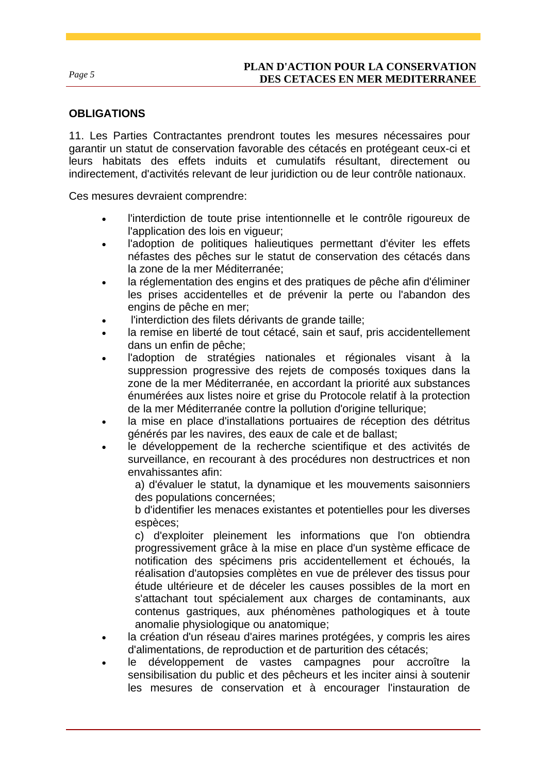# **OBLIGATIONS**

11. Les Parties Contractantes prendront toutes les mesures nécessaires pour garantir un statut de conservation favorable des cétacés en protégeant ceux-ci et leurs habitats des effets induits et cumulatifs résultant, directement ou indirectement, d'activités relevant de leur juridiction ou de leur contrôle nationaux.

Ces mesures devraient comprendre:

- l'interdiction de toute prise intentionnelle et le contrôle rigoureux de l'application des lois en vigueur;
- l'adoption de politiques halieutiques permettant d'éviter les effets néfastes des pêches sur le statut de conservation des cétacés dans la zone de la mer Méditerranée;
- la réglementation des engins et des pratiques de pêche afin d'éliminer les prises accidentelles et de prévenir la perte ou l'abandon des engins de pêche en mer;
- l'interdiction des filets dérivants de grande taille;
- la remise en liberté de tout cétacé, sain et sauf, pris accidentellement dans un enfin de pêche;
- l'adoption de stratégies nationales et régionales visant à la suppression progressive des rejets de composés toxiques dans la zone de la mer Méditerranée, en accordant la priorité aux substances énumérées aux listes noire et grise du Protocole relatif à la protection de la mer Méditerranée contre la pollution d'origine tellurique;
- la mise en place d'installations portuaires de réception des détritus générés par les navires, des eaux de cale et de ballast;
- le développement de la recherche scientifique et des activités de surveillance, en recourant à des procédures non destructrices et non envahissantes afin:

a) d'évaluer le statut, la dynamique et les mouvements saisonniers des populations concernées;

b d'identifier les menaces existantes et potentielles pour les diverses espèces;

c) d'exploiter pleinement les informations que l'on obtiendra progressivement grâce à la mise en place d'un système efficace de notification des spécimens pris accidentellement et échoués, la réalisation d'autopsies complètes en vue de prélever des tissus pour étude ultérieure et de déceler les causes possibles de la mort en s'attachant tout spécialement aux charges de contaminants, aux contenus gastriques, aux phénomènes pathologiques et à toute anomalie physiologique ou anatomique;

- la création d'un réseau d'aires marines protégées, y compris les aires d'alimentations, de reproduction et de parturition des cétacés;
- le développement de vastes campagnes pour accroître la sensibilisation du public et des pêcheurs et les inciter ainsi à soutenir les mesures de conservation et à encourager l'instauration de

*Page 5*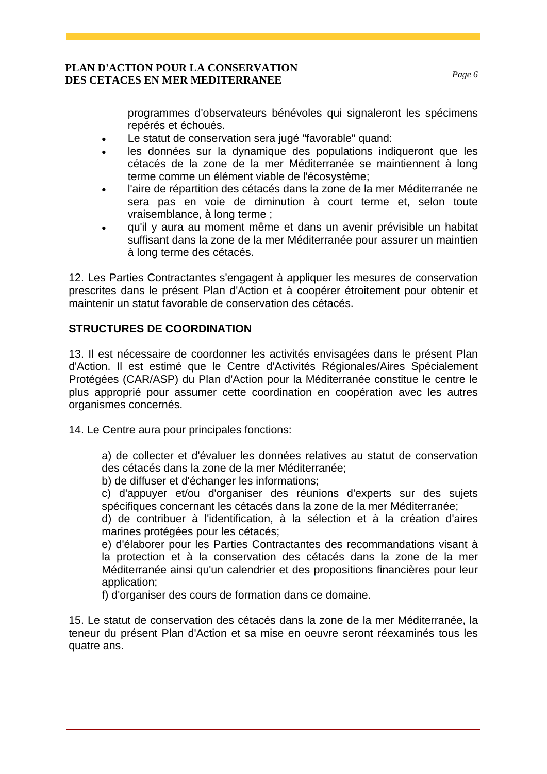programmes d'observateurs bénévoles qui signaleront les spécimens repérés et échoués.

- Le statut de conservation sera jugé "favorable" quand:
- les données sur la dynamique des populations indiqueront que les cétacés de la zone de la mer Méditerranée se maintiennent à long terme comme un élément viable de l'écosystème;
- l'aire de répartition des cétacés dans la zone de la mer Méditerranée ne sera pas en voie de diminution à court terme et, selon toute vraisemblance, à long terme ;
- qu'il y aura au moment même et dans un avenir prévisible un habitat suffisant dans la zone de la mer Méditerranée pour assurer un maintien à long terme des cétacés.

12. Les Parties Contractantes s'engagent à appliquer les mesures de conservation prescrites dans le présent Plan d'Action et à coopérer étroitement pour obtenir et maintenir un statut favorable de conservation des cétacés.

# **STRUCTURES DE COORDINATION**

13. Il est nécessaire de coordonner les activités envisagées dans le présent Plan d'Action. Il est estimé que le Centre d'Activités Régionales/Aires Spécialement Protégées (CAR/ASP) du Plan d'Action pour la Méditerranée constitue le centre le plus approprié pour assumer cette coordination en coopération avec les autres organismes concernés.

14. Le Centre aura pour principales fonctions:

a) de collecter et d'évaluer les données relatives au statut de conservation des cétacés dans la zone de la mer Méditerranée;

b) de diffuser et d'échanger les informations;

c) d'appuyer et/ou d'organiser des réunions d'experts sur des sujets spécifiques concernant les cétacés dans la zone de la mer Méditerranée;

d) de contribuer à l'identification, à la sélection et à la création d'aires marines protégées pour les cétacés;

e) d'élaborer pour les Parties Contractantes des recommandations visant à la protection et à la conservation des cétacés dans la zone de la mer Méditerranée ainsi qu'un calendrier et des propositions financières pour leur application;

f) d'organiser des cours de formation dans ce domaine.

15. Le statut de conservation des cétacés dans la zone de la mer Méditerranée, la teneur du présent Plan d'Action et sa mise en oeuvre seront réexaminés tous les quatre ans.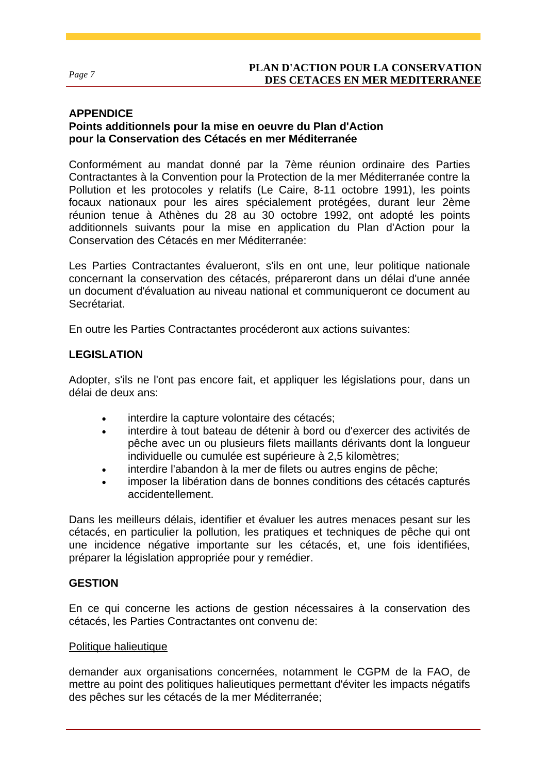#### *Page 7*

### **APPENDICE**

# **Points additionnels pour la mise en oeuvre du Plan d'Action pour la Conservation des Cétacés en mer Méditerranée**

Conformément au mandat donné par la 7ème réunion ordinaire des Parties Contractantes à la Convention pour la Protection de la mer Méditerranée contre la Pollution et les protocoles y relatifs (Le Caire, 8-11 octobre 1991), les points focaux nationaux pour les aires spécialement protégées, durant leur 2ème réunion tenue à Athènes du 28 au 30 octobre 1992, ont adopté les points additionnels suivants pour la mise en application du Plan d'Action pour la Conservation des Cétacés en mer Méditerranée:

Les Parties Contractantes évalueront, s'ils en ont une, leur politique nationale concernant la conservation des cétacés, prépareront dans un délai d'une année un document d'évaluation au niveau national et communiqueront ce document au Secrétariat.

En outre les Parties Contractantes procéderont aux actions suivantes:

# **LEGISLATION**

Adopter, s'ils ne l'ont pas encore fait, et appliquer les législations pour, dans un délai de deux ans:

- interdire la capture volontaire des cétacés;
- interdire à tout bateau de détenir à bord ou d'exercer des activités de pêche avec un ou plusieurs filets maillants dérivants dont la longueur individuelle ou cumulée est supérieure à 2,5 kilomètres;
- interdire l'abandon à la mer de filets ou autres engins de pêche;
- imposer la libération dans de bonnes conditions des cétacés capturés accidentellement.

Dans les meilleurs délais, identifier et évaluer les autres menaces pesant sur les cétacés, en particulier la pollution, les pratiques et techniques de pêche qui ont une incidence négative importante sur les cétacés, et, une fois identifiées, préparer la législation appropriée pour y remédier.

### **GESTION**

En ce qui concerne les actions de gestion nécessaires à la conservation des cétacés, les Parties Contractantes ont convenu de:

### Politique halieutique

demander aux organisations concernées, notamment le CGPM de la FAO, de mettre au point des politiques halieutiques permettant d'éviter les impacts négatifs des pêches sur les cétacés de la mer Méditerranée;